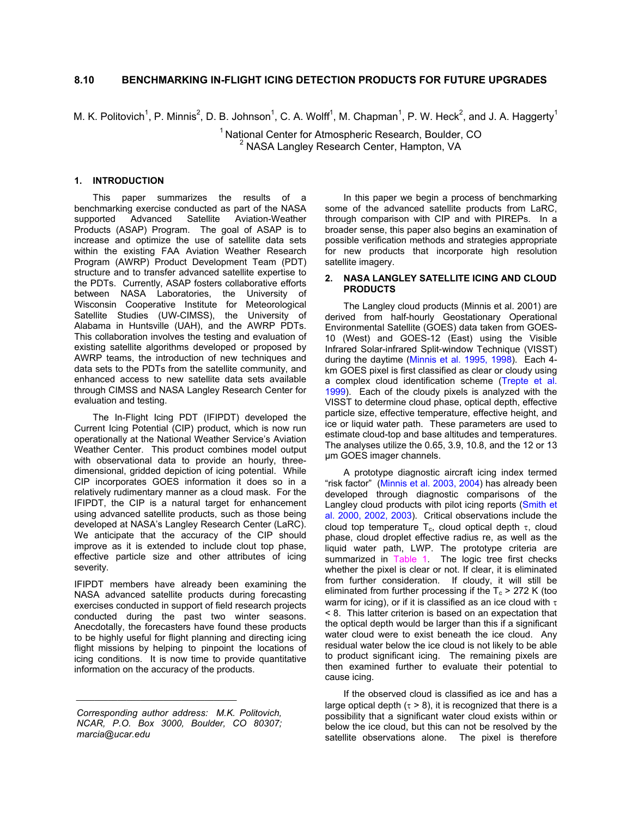# **8.10 BENCHMARKING IN-FLIGHT ICING DETECTION PRODUCTS FOR FUTURE UPGRADES**

M. K. Politovich<sup>1</sup>, P. Minnis<sup>2</sup>, D. B. Johnson<sup>1</sup>, C. A. Wolff<sup>1</sup>, M. Chapman<sup>1</sup>, P. W. Heck<sup>2</sup>, and J. A. Haggerty<sup>1</sup>

 $1$  National Center for Atmospheric Research, Boulder, CO <sup>2</sup> NASA Langley Research Center, Hampton, VA

### **1. INTRODUCTION**

This paper summarizes the results of a benchmarking exercise conducted as part of the NASA supported Advanced Satellite Aviation-Weather Products (ASAP) Program. The goal of ASAP is to increase and optimize the use of satellite data sets within the existing FAA Aviation Weather Research Program (AWRP) Product Development Team (PDT) structure and to transfer advanced satellite expertise to the PDTs. Currently, ASAP fosters collaborative efforts between NASA Laboratories, the University of Wisconsin Cooperative Institute for Meteorological Satellite Studies (UW-CIMSS), the University of Alabama in Huntsville (UAH), and the AWRP PDTs. This collaboration involves the testing and evaluation of existing satellite algorithms developed or proposed by AWRP teams, the introduction of new techniques and data sets to the PDTs from the satellite community, and enhanced access to new satellite data sets available through CIMSS and NASA Langley Research Center for evaluation and testing.

The In-Flight Icing PDT (IFIPDT) developed the Current Icing Potential (CIP) product, which is now run operationally at the National Weather Service's Aviation Weather Center. This product combines model output with observational data to provide an hourly, threedimensional, gridded depiction of icing potential. While CIP incorporates GOES information it does so in a relatively rudimentary manner as a cloud mask. For the IFIPDT, the CIP is a natural target for enhancement using advanced satellite products, such as those being developed at NASA's Langley Research Center (LaRC). We anticipate that the accuracy of the CIP should improve as it is extended to include clout top phase, effective particle size and other attributes of icing severity.

IFIPDT members have already been examining the NASA advanced satellite products during forecasting exercises conducted in support of field research projects conducted during the past two winter seasons. Anecdotally, the forecasters have found these products to be highly useful for flight planning and directing icing flight missions by helping to pinpoint the locations of icing conditions. It is now time to provide quantitative information on the accuracy of the products.

*\_\_\_\_\_\_\_\_\_\_\_\_\_\_\_\_\_\_\_\_\_\_\_\_\_\_\_\_\_\_\_\_\_\_\_* 

In this paper we begin a process of benchmarking some of the advanced satellite products from LaRC, through comparison with CIP and with PIREPs. In a broader sense, this paper also begins an examination of possible verification methods and strategies appropriate for new products that incorporate high resolution satellite imagery.

### **2. NASA LANGLEY SATELLITE ICING AND CLOUD PRODUCTS**

The Langley cloud products (Minnis et al. 2001) are derived from half-hourly Geostationary Operational Environmental Satellite (GOES) data taken from GOES-10 (West) and GOES-12 (East) using the Visible Infrared Solar-infrared Split-window Technique (VISST) during the daytime (Minnis et al. 1995, 1998). Each 4 km GOES pixel is first classified as clear or cloudy using a complex cloud identification scheme (Trepte et al. 1999). Each of the cloudy pixels is analyzed with the VISST to determine cloud phase, optical depth, effective particle size, effective temperature, effective height, and ice or liquid water path. These parameters are used to estimate cloud-top and base altitudes and temperatures. The analyses utilize the 0.65, 3.9, 10.8, and the 12 or 13 µm GOES imager channels.

A prototype diagnostic aircraft icing index termed "risk factor" (Minnis et al. 2003, 2004) has already been developed through diagnostic comparisons of the Langley cloud products with pilot icing reports (Smith et al. 2000, 2002, 2003). Critical observations include the cloud top temperature  $T_c$ , cloud optical depth  $\tau$ , cloud phase, cloud droplet effective radius re, as well as the liquid water path, LWP. The prototype criteria are summarized in Table 1. The logic tree first checks whether the pixel is clear or not. If clear, it is eliminated from further consideration. If cloudy, it will still be eliminated from further processing if the  $T_c$  > 272 K (too warm for icing), or if it is classified as an ice cloud with  $\tau$ < 8. This latter criterion is based on an expectation that the optical depth would be larger than this if a significant water cloud were to exist beneath the ice cloud. Any residual water below the ice cloud is not likely to be able to product significant icing. The remaining pixels are then examined further to evaluate their potential to cause icing.

If the observed cloud is classified as ice and has a large optical depth ( $\tau > 8$ ), it is recognized that there is a possibility that a significant water cloud exists within or below the ice cloud, but this can not be resolved by the satellite observations alone. The pixel is therefore

*Corresponding author address: M.K. Politovich, NCAR, P.O. Box 3000, Boulder, CO 80307; marcia@ucar.edu*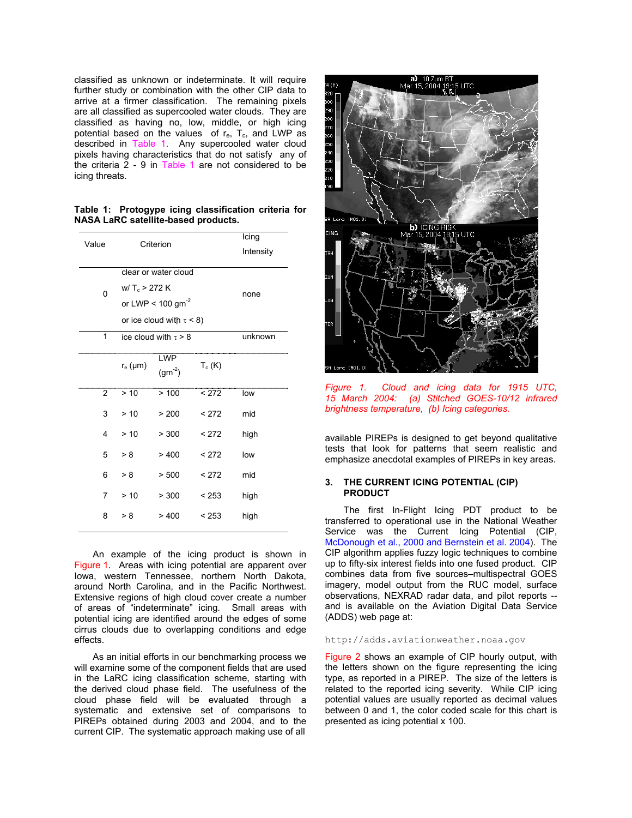classified as unknown or indeterminate. It will require further study or combination with the other CIP data to arrive at a firmer classification. The remaining pixels are all classified as supercooled water clouds. They are classified as having no, low, middle, or high icing potential based on the values of  $r_{e}$ ,  $T_{c}$ , and LWP as described in Table 1. Any supercooled water cloud pixels having characteristics that do not satisfy any of the criteria 2 - 9 in Table 1 are not considered to be icing threats.

|  |                                     | Table 1: Protogype icing classification criteria for |  |
|--|-------------------------------------|------------------------------------------------------|--|
|  | NASA LaRC satellite-based products. |                                                      |  |

| Value | Criterion                                                                                                  |                           |          | Icing<br>Intensity |
|-------|------------------------------------------------------------------------------------------------------------|---------------------------|----------|--------------------|
| 0     | clear or water cloud<br>$W/T_c > 272 K$<br>or LWP < $100 \text{ gm}^{-2}$<br>or ice cloud with $\tau$ < 8) |                           |          | none               |
| 1     | ice cloud with $\tau > 8$                                                                                  |                           |          | unknown            |
|       | $r_e$ ( $\mu$ m)                                                                                           | <b>LWP</b><br>$(gm^{-2})$ | $T_c(K)$ |                    |
| 2     | > 10                                                                                                       | >100                      | < 272    | low                |
| 3     | > 10                                                                                                       | > 200                     | < 272    | mid                |
| 4     | > 10                                                                                                       | > 300                     | < 272    | high               |
| 5     | > 8                                                                                                        | >400                      | < 272    | low                |
| 6     | > 8                                                                                                        | > 500                     | < 272    | mid                |
| 7     | > 10                                                                                                       | > 300                     | < 253    | high               |
| 8     | > 8                                                                                                        | >400                      | < 253    | high               |

An example of the icing product is shown in Figure 1. Areas with icing potential are apparent over Iowa, western Tennessee, northern North Dakota, around North Carolina, and in the Pacific Northwest. Extensive regions of high cloud cover create a number of areas of "indeterminate" icing. Small areas with potential icing are identified around the edges of some cirrus clouds due to overlapping conditions and edge effects.

As an initial efforts in our benchmarking process we will examine some of the component fields that are used in the LaRC icing classification scheme, starting with the derived cloud phase field. The usefulness of the cloud phase field will be evaluated through a systematic and extensive set of comparisons to PIREPs obtained during 2003 and 2004, and to the current CIP. The systematic approach making use of all



*Figure 1. Cloud and icing data for 1915 UTC, 15 March 2004: (a) Stitched GOES-10/12 infrared brightness temperature, (b) Icing categories.* 

available PIREPs is designed to get beyond qualitative tests that look for patterns that seem realistic and emphasize anecdotal examples of PIREPs in key areas.

### **3. THE CURRENT ICING POTENTIAL (CIP) PRODUCT**

The first In-Flight Icing PDT product to be transferred to operational use in the National Weather Service was the Current Icing Potential (CIP, McDonough et al., 2000 and Bernstein et al. 2004). The CIP algorithm applies fuzzy logic techniques to combine up to fifty-six interest fields into one fused product. CIP combines data from five sources–multispectral GOES imagery, model output from the RUC model, surface observations, NEXRAD radar data, and pilot reports - and is available on the Aviation Digital Data Service (ADDS) web page at:

### http://adds.aviationweather.noaa.gov

Figure 2 shows an example of CIP hourly output, with the letters shown on the figure representing the icing type, as reported in a PIREP. The size of the letters is related to the reported icing severity. While CIP icing potential values are usually reported as decimal values between 0 and 1, the color coded scale for this chart is presented as icing potential x 100.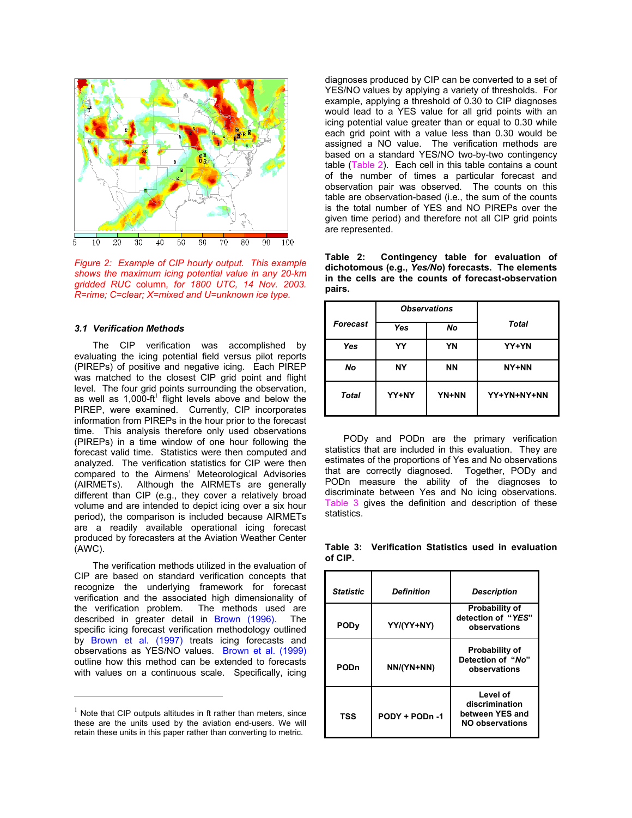

*Figure 2: Example of CIP hourly output. This example shows the maximum icing potential value in any 20-km gridded RUC* column*, for 1800 UTC, 14 Nov. 2003. R=rime; C=clear; X=mixed and U=unknown ice type.* 

### *3.1 Verification Methods*

The CIP verification was accomplished by evaluating the icing potential field versus pilot reports (PIREPs) of positive and negative icing. Each PIREP was matched to the closest CIP grid point and flight level. The four grid points surrounding the observation, as well as  $1,000$ -ft<sup>1</sup> flight levels above and below the PIREP, were examined. Currently, CIP incorporates information from PIREPs in the hour prior to the forecast time. This analysis therefore only used observations (PIREPs) in a time window of one hour following the forecast valid time. Statistics were then computed and analyzed. The verification statistics for CIP were then compared to the Airmens' Meteorological Advisories (AIRMETs). Although the AIRMETs are generally different than CIP (e.g., they cover a relatively broad volume and are intended to depict icing over a six hour period), the comparison is included because AIRMETs are a readily available operational icing forecast produced by forecasters at the Aviation Weather Center (AWC).

The verification methods utilized in the evaluation of CIP are based on standard verification concepts that recognize the underlying framework for forecast verification and the associated high dimensionality of the verification problem. The methods used are described in greater detail in Brown (1996). The specific icing forecast verification methodology outlined by Brown et al. (1997) treats icing forecasts and observations as YES/NO values. Brown et al. (1999) outline how this method can be extended to forecasts with values on a continuous scale. Specifically, icing

l

diagnoses produced by CIP can be converted to a set of YES/NO values by applying a variety of thresholds. For example, applying a threshold of 0.30 to CIP diagnoses would lead to a YES value for all grid points with an icing potential value greater than or equal to 0.30 while each grid point with a value less than 0.30 would be assigned a NO value. The verification methods are based on a standard YES/NO two-by-two contingency table (Table 2). Each cell in this table contains a count of the number of times a particular forecast and observation pair was observed. The counts on this table are observation-based (i.e., the sum of the counts is the total number of YES and NO PIREPs over the given time period) and therefore not all CIP grid points are represented.

**Table 2: Contingency table for evaluation of dichotomous (e.g.,** *Yes/No***) forecasts. The elements in the cells are the counts of forecast-observation pairs.** 

|                 |       | <b>Observations</b> |              |
|-----------------|-------|---------------------|--------------|
| <b>Forecast</b> | Yes   | No                  | <b>Total</b> |
| Yes             | YY    | YN                  | YY+YN        |
| No              | NΥ    | <b>NN</b>           | NY+NN        |
| <b>Total</b>    | YY+NY | YN+NN               | YY+YN+NY+NN  |

PODy and PODn are the primary verification statistics that are included in this evaluation. They are estimates of the proportions of Yes and No observations that are correctly diagnosed. Together, PODy and PODn measure the ability of the diagnoses to discriminate between Yes and No icing observations. Table 3 gives the definition and description of these statistics.

**Table 3: Verification Statistics used in evaluation of CIP.** 

| <b>Statistic</b>       | Definition     | <b>Description</b>                                               |
|------------------------|----------------|------------------------------------------------------------------|
| <b>POD<sub>V</sub></b> | YY/(YY+NY)     | Probability of<br>detection of "YES"<br>observations             |
| PODn                   | NN/(YN+NN)     | <b>Probability of</b><br>Detection of "No"<br>observations       |
| TSS                    | PODY + PODn -1 | Level of<br>discrimination<br>between YES and<br>NO observations |

 $1$  Note that CIP outputs altitudes in ft rather than meters, since these are the units used by the aviation end-users. We will retain these units in this paper rather than converting to metric.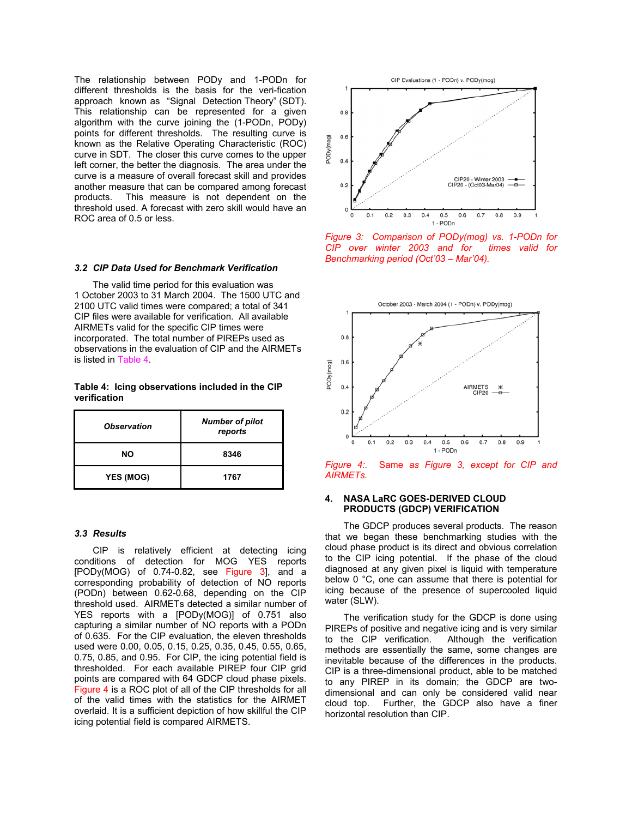The relationship between PODy and 1-PODn for different thresholds is the basis for the veri-fication approach known as "Signal Detection Theory" (SDT). This relationship can be represented for a given algorithm with the curve joining the (1-PODn, PODy) points for different thresholds. The resulting curve is known as the Relative Operating Characteristic (ROC) curve in SDT. The closer this curve comes to the upper left corner, the better the diagnosis. The area under the curve is a measure of overall forecast skill and provides another measure that can be compared among forecast products. This measure is not dependent on the threshold used. A forecast with zero skill would have an ROC area of 0.5 or less.

## *3.2 CIP Data Used for Benchmark Verification*

The valid time period for this evaluation was 1 October 2003 to 31 March 2004. The 1500 UTC and 2100 UTC valid times were compared; a total of 341 CIP files were available for verification. All available AIRMETs valid for the specific CIP times were incorporated. The total number of PIREPs used as observations in the evaluation of CIP and the AIRMETs is listed in Table 4.

**Table 4: Icing observations included in the CIP verification** 

| <b>Observation</b> | <b>Number of pilot</b><br>reports |  |
|--------------------|-----------------------------------|--|
| NO.                | 8346                              |  |
| <b>YES (MOG)</b>   | 1767                              |  |

### *3.3 Results*

CIP is relatively efficient at detecting icing conditions of detection for MOG YES reports  $[PODy(MOG)$  of 0.74-0.82, see Figure 3, and a corresponding probability of detection of NO reports (PODn) between 0.62-0.68, depending on the CIP threshold used. AIRMETs detected a similar number of YES reports with a [PODy(MOG)] of 0.751 also capturing a similar number of NO reports with a PODn of 0.635. For the CIP evaluation, the eleven thresholds used were 0.00, 0.05, 0.15, 0.25, 0.35, 0.45, 0.55, 0.65, 0.75, 0.85, and 0.95. For CIP, the icing potential field is thresholded. For each available PIREP four CIP grid points are compared with 64 GDCP cloud phase pixels. Figure 4 is a ROC plot of all of the CIP thresholds for all of the valid times with the statistics for the AIRMET overlaid. It is a sufficient depiction of how skillful the CIP icing potential field is compared AIRMETS.



*Figure 3: Comparison of PODy(mog) vs. 1-PODn for CIP over winter 2003 and for times valid for Benchmarking period (Oct'03 – Mar'04).* 



*Figure 4:.* Same *as Figure 3, except for CIP and AIRMETs.* 

### **4. NASA LaRC GOES-DERIVED CLOUD PRODUCTS (GDCP) VERIFICATION**

The GDCP produces several products. The reason that we began these benchmarking studies with the cloud phase product is its direct and obvious correlation to the CIP icing potential. If the phase of the cloud diagnosed at any given pixel is liquid with temperature below 0 °C, one can assume that there is potential for icing because of the presence of supercooled liquid water (SLW).

The verification study for the GDCP is done using PIREPs of positive and negative icing and is very similar to the CIP verification. Although the verification methods are essentially the same, some changes are inevitable because of the differences in the products. CIP is a three-dimensional product, able to be matched to any PIREP in its domain; the GDCP are twodimensional and can only be considered valid near cloud top. Further, the GDCP also have a finer horizontal resolution than CIP.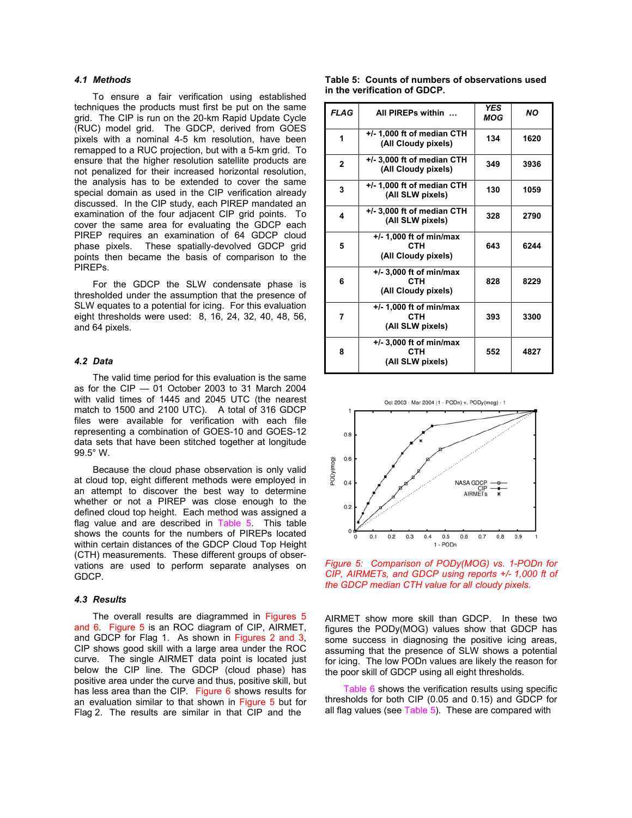## *4.1 Methods*

To ensure a fair verification using established techniques the products must first be put on the same grid. The CIP is run on the 20-km Rapid Update Cycle (RUC) model grid. The GDCP, derived from GOES pixels with a nominal 4-5 km resolution, have been remapped to a RUC projection, but with a 5-km grid. To ensure that the higher resolution satellite products are not penalized for their increased horizontal resolution, the analysis has to be extended to cover the same special domain as used in the CIP verification already discussed. In the CIP study, each PIREP mandated an examination of the four adjacent CIP grid points. To cover the same area for evaluating the GDCP each PIREP requires an examination of 64 GDCP cloud phase pixels. These spatially-devolved GDCP grid points then became the basis of comparison to the PIREPs.

For the GDCP the SLW condensate phase is thresholded under the assumption that the presence of SLW equates to a potential for icing. For this evaluation eight thresholds were used: 8, 16, 24, 32, 40, 48, 56, and 64 pixels.

#### *4.2 Data*

The valid time period for this evaluation is the same as for the CIP — 01 October 2003 to 31 March 2004 with valid times of 1445 and 2045 UTC (the nearest match to 1500 and 2100 UTC). A total of 316 GDCP files were available for verification with each file representing a combination of GOES-10 and GOES-12 data sets that have been stitched together at longitude 99.5° W.

Because the cloud phase observation is only valid at cloud top, eight different methods were employed in an attempt to discover the best way to determine whether or not a PIREP was close enough to the defined cloud top height. Each method was assigned a flag value and are described in Table 5 This table shows the counts for the numbers of PIREPs located within certain distances of the GDCP Cloud Top Height (CTH) measurements. These different groups of observations are used to perform separate analyses on GDCP.

#### *4.3 Results*

The overall results are diagrammed in Figures 5 and 6. Figure 5 is an ROC diagram of CIP. AIRMET. and GDCP for Flag 1. As shown in Figures 2 and 3, CIP shows good skill with a large area under the ROC curve. The single AIRMET data point is located just below the CIP line. The GDCP (cloud phase) has positive area under the curve and thus, positive skill, but has less area than the CIP. Figure 6 shows results for an evaluation similar to that shown in Figure 5 but for Flag 2. The results are similar in that CIP and the

|  | Table 5: Counts of numbers of observations used |  |  |
|--|-------------------------------------------------|--|--|
|  | in the verification of GDCP.                    |  |  |

| <b>FLAG</b>  | All PIREPs within                                              | <b>YES</b><br>MOG | <b>NO</b> |
|--------------|----------------------------------------------------------------|-------------------|-----------|
| 1            | +/- 1,000 ft of median CTH<br>(All Cloudy pixels)              | 134               | 1620      |
| $\mathbf{2}$ | $+/- 3,000$ ft of median CTH<br>(All Cloudy pixels)            | 349               | 3936      |
| 3            | $+/-$ 1,000 ft of median CTH<br>(All SLW pixels)               | 130               | 1059      |
| 4            | +/- 3,000 ft of median CTH<br>(All SLW pixels)                 | 328               | 2790      |
| 5            | $+/- 1,000$ ft of min/max<br><b>CTH</b><br>(All Cloudy pixels) | 643               | 6244      |
| 6            | +/- 3,000 ft of min/max<br><b>CTH</b><br>(All Cloudy pixels)   | 828               | 8229      |
| 7            | +/- 1,000 ft of min/max<br><b>CTH</b><br>(All SLW pixels)      | 393               | 3300      |
| 8            | +/- 3,000 ft of min/max<br>СТН<br>(All SLW pixels)             | 552               | 4827      |



*Figure 5: Comparison of PODy(MOG) vs. 1-PODn for CIP, AIRMETs, and GDCP using reports +/- 1,000 ft of the GDCP median CTH value for all cloudy pixels.* 

AIRMET show more skill than GDCP. In these two figures the PODy(MOG) values show that GDCP has some success in diagnosing the positive icing areas, assuming that the presence of SLW shows a potential for icing. The low PODn values are likely the reason for the poor skill of GDCP using all eight thresholds.

Table 6 shows the verification results using specific thresholds for both CIP (0.05 and 0.15) and GDCP for all flag values (see Table 5). These are compared with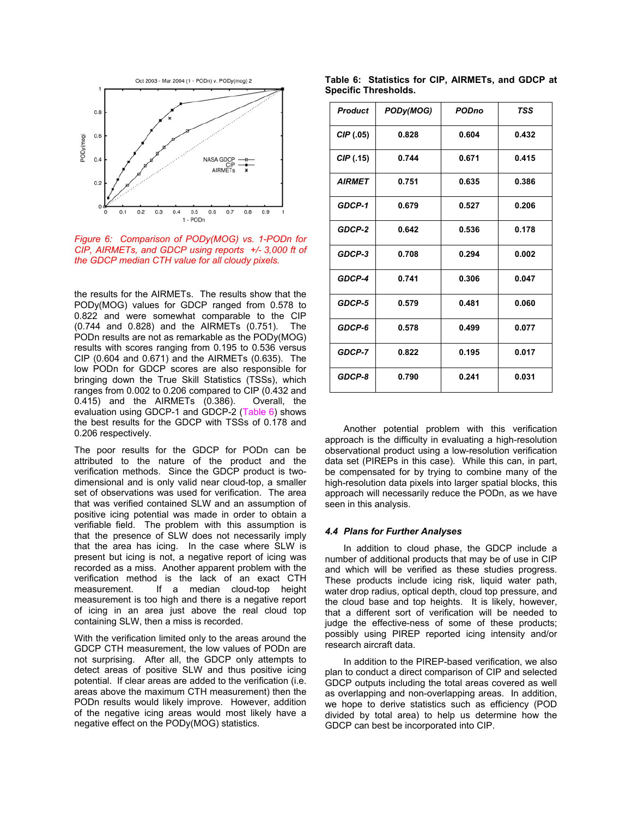

*Figure 6: Comparison of PODy(MOG) vs. 1-PODn for CIP, AIRMETs, and GDCP using reports +/- 3,000 ft of the GDCP median CTH value for all cloudy pixels.* 

the results for the AIRMETs. The results show that the PODy(MOG) values for GDCP ranged from 0.578 to 0.822 and were somewhat comparable to the CIP (0.744 and 0.828) and the AIRMETs (0.751). The PODn results are not as remarkable as the PODy(MOG) results with scores ranging from 0.195 to 0.536 versus CIP (0.604 and 0.671) and the AIRMETs (0.635). The low PODn for GDCP scores are also responsible for bringing down the True Skill Statistics (TSSs), which ranges from 0.002 to 0.206 compared to CIP (0.432 and 0.415) and the AIRMETs (0.386). Overall, the evaluation using GDCP-1 and GDCP-2 (Table 6) shows the best results for the GDCP with TSSs of 0.178 and 0.206 respectively.

The poor results for the GDCP for PODn can be attributed to the nature of the product and the verification methods. Since the GDCP product is twodimensional and is only valid near cloud-top, a smaller set of observations was used for verification. The area that was verified contained SLW and an assumption of positive icing potential was made in order to obtain a verifiable field. The problem with this assumption is that the presence of SLW does not necessarily imply that the area has icing. In the case where SLW is present but icing is not, a negative report of icing was recorded as a miss. Another apparent problem with the verification method is the lack of an exact CTH measurement. If a median cloud-top height measurement is too high and there is a negative report of icing in an area just above the real cloud top containing SLW, then a miss is recorded.

With the verification limited only to the areas around the GDCP CTH measurement, the low values of PODn are not surprising. After all, the GDCP only attempts to detect areas of positive SLW and thus positive icing potential. If clear areas are added to the verification (i.e. areas above the maximum CTH measurement) then the PODn results would likely improve. However, addition of the negative icing areas would most likely have a negative effect on the PODy(MOG) statistics.

**Table 6: Statistics for CIP, AIRMETs, and GDCP at Specific Thresholds.** 

| <b>Product</b> | PODy(MOG) | <b>PODno</b> | <b>TSS</b> |
|----------------|-----------|--------------|------------|
| CIP(05)        | 0.828     | 0.604        | 0.432      |
| CIP(0.15)      | 0.744     | 0.671        | 0.415      |
| <b>AIRMET</b>  | 0.751     | 0.635        | 0.386      |
| GDCP-1         | 0.679     | 0.527        | 0.206      |
| GDCP-2         | 0.642     | 0.536        | 0.178      |
| GDCP-3         | 0.708     | 0.294        | 0.002      |
| GDCP-4         | 0.741     | 0.306        | 0.047      |
| GDCP-5         | 0.579     | 0.481        | 0.060      |
| GDCP-6         | 0.578     | 0.499        | 0.077      |
| GDCP-7         | 0.822     | 0.195        | 0.017      |
| GDCP-8         | 0.790     | 0.241        | 0.031      |

Another potential problem with this verification approach is the difficulty in evaluating a high-resolution observational product using a low-resolution verification data set (PIREPs in this case). While this can, in part, be compensated for by trying to combine many of the high-resolution data pixels into larger spatial blocks, this approach will necessarily reduce the PODn, as we have seen in this analysis.

#### *4.4 Plans for Further Analyses*

In addition to cloud phase, the GDCP include a number of additional products that may be of use in CIP and which will be verified as these studies progress. These products include icing risk, liquid water path, water drop radius, optical depth, cloud top pressure, and the cloud base and top heights. It is likely, however, that a different sort of verification will be needed to judge the effective-ness of some of these products; possibly using PIREP reported icing intensity and/or research aircraft data.

In addition to the PIREP-based verification, we also plan to conduct a direct comparison of CIP and selected GDCP outputs including the total areas covered as well as overlapping and non-overlapping areas. In addition, we hope to derive statistics such as efficiency (POD divided by total area) to help us determine how the GDCP can best be incorporated into CIP.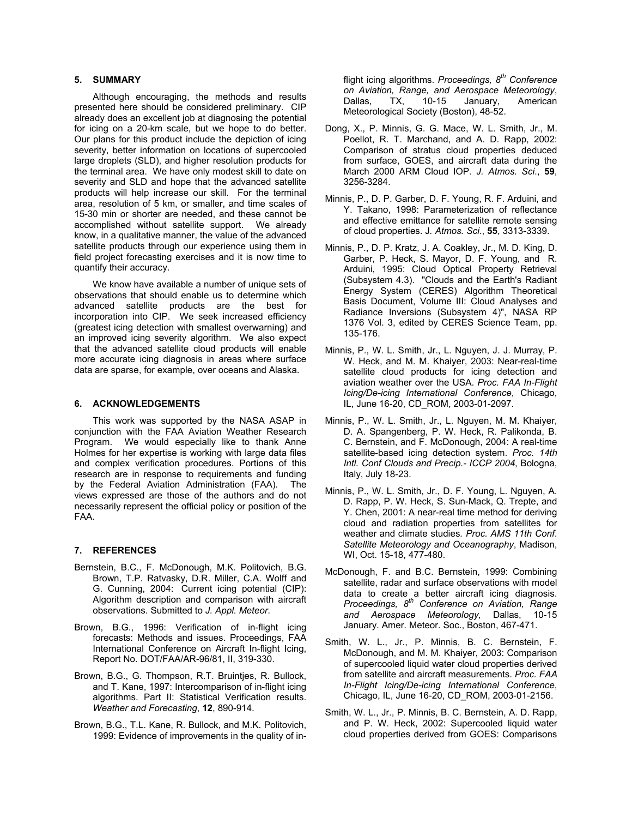# **5. SUMMARY**

Although encouraging, the methods and results presented here should be considered preliminary. CIP already does an excellent job at diagnosing the potential for icing on a 20-km scale, but we hope to do better. Our plans for this product include the depiction of icing severity, better information on locations of supercooled large droplets (SLD), and higher resolution products for the terminal area. We have only modest skill to date on severity and SLD and hope that the advanced satellite products will help increase our skill. For the terminal area, resolution of 5 km, or smaller, and time scales of 15-30 min or shorter are needed, and these cannot be accomplished without satellite support. We already know, in a qualitative manner, the value of the advanced satellite products through our experience using them in field project forecasting exercises and it is now time to quantify their accuracy.

We know have available a number of unique sets of observations that should enable us to determine which advanced satellite products are the best for incorporation into CIP. We seek increased efficiency (greatest icing detection with smallest overwarning) and an improved icing severity algorithm. We also expect that the advanced satellite cloud products will enable more accurate icing diagnosis in areas where surface data are sparse, for example, over oceans and Alaska.

## **6. ACKNOWLEDGEMENTS**

This work was supported by the NASA ASAP in conjunction with the FAA Aviation Weather Research Program. We would especially like to thank Anne Holmes for her expertise is working with large data files and complex verification procedures. Portions of this research are in response to requirements and funding by the Federal Aviation Administration (FAA). The views expressed are those of the authors and do not necessarily represent the official policy or position of the FAA.

# **7. REFERENCES**

- Bernstein, B.C., F. McDonough, M.K. Politovich, B.G. Brown, T.P. Ratvasky, D.R. Miller, C.A. Wolff and G. Cunning, 2004: Current icing potential (CIP): Algorithm description and comparison with aircraft observations. Submitted to *J. Appl. Meteor*.
- Brown, B.G., 1996: Verification of in-flight icing forecasts: Methods and issues. Proceedings, FAA International Conference on Aircraft In-flight Icing, Report No. DOT/FAA/AR-96/81, II, 319-330.
- Brown, B.G., G. Thompson, R.T. Bruintjes, R. Bullock, and T. Kane, 1997: Intercomparison of in-flight icing algorithms. Part II: Statistical Verification results. *Weather and Forecasting*, **12**, 890-914.
- Brown, B.G., T.L. Kane, R. Bullock, and M.K. Politovich, 1999: Evidence of improvements in the quality of in-

flight icing algorithms. *Proceedings, 8th Conference on Aviation, Range, and Aerospace Meteorology*, Dallas, TX, 10-15 January, American Meteorological Society (Boston), 48-52.

- Dong, X., P. Minnis, G. G. Mace, W. L. Smith, Jr., M. Poellot, R. T. Marchand, and A. D. Rapp. 2002: Comparison of stratus cloud properties deduced from surface, GOES, and aircraft data during the March 2000 ARM Cloud IOP. *J. Atmos. Sci*., **59**, 3256-3284.
- Minnis, P., D. P. Garber, D. F. Young, R. F. Arduini, and Y. Takano, 1998: Parameterization of reflectance and effective emittance for satellite remote sensing of cloud properties. J*. Atmos. Sci.*, **55**, 3313-3339.
- Minnis, P., D. P. Kratz, J. A. Coakley, Jr., M. D. King, D. Garber, P. Heck, S. Mayor, D. F. Young, and R. Arduini, 1995: Cloud Optical Property Retrieval (Subsystem 4.3). "Clouds and the Earth's Radiant Energy System (CERES) Algorithm Theoretical Basis Document, Volume III: Cloud Analyses and Radiance Inversions (Subsystem 4)", NASA RP 1376 Vol. 3, edited by CERES Science Team, pp. 135-176.
- Minnis, P., W. L. Smith, Jr., L. Nguyen, J. J. Murray, P. W. Heck, and M. M. Khaiyer, 2003: Near-real-time satellite cloud products for icing detection and aviation weather over the USA. *Proc. FAA In-Flight Icing/De-icing International Conference*, Chicago, IL, June 16-20, CD\_ROM, 2003-01-2097.
- Minnis, P., W. L. Smith, Jr., L. Nguyen, M. M. Khaiyer, D. A. Spangenberg, P. W. Heck, R. Palikonda, B. C. Bernstein, and F. McDonough, 2004: A real-time satellite-based icing detection system. *Proc. 14th Intl. Conf Clouds and Precip.- ICCP 2004*, Bologna, Italy, July 18-23.
- Minnis, P., W. L. Smith, Jr., D. F. Young, L. Nguyen, A. D. Rapp, P. W. Heck, S. Sun-Mack, Q. Trepte, and Y. Chen, 2001: A near-real time method for deriving cloud and radiation properties from satellites for weather and climate studies*. Proc. AMS 11th Conf*. *Satellite Meteorology and Oceanography*, Madison, WI, Oct. 15-18, 477-480.
- McDonough, F. and B.C. Bernstein, 1999: Combining satellite, radar and surface observations with model data to create a better aircraft icing diagnosis. *Proceedings, 8th Conference on Aviation, Range and Aerospace Meteorology,* Dallas, 10-15 January. Amer. Meteor. Soc., Boston, 467-471.
- Smith, W. L., Jr., P. Minnis, B. C. Bernstein, F. McDonough, and M. M. Khaiyer, 2003: Comparison of supercooled liquid water cloud properties derived from satellite and aircraft measurements. *Proc. FAA In-Flight Icing/De-icing International Conference*, Chicago, IL, June 16-20, CD\_ROM, 2003-01-2156.
- Smith, W. L., Jr., P. Minnis, B. C. Bernstein, A. D. Rapp, and P. W. Heck, 2002: Supercooled liquid water cloud properties derived from GOES: Comparisons